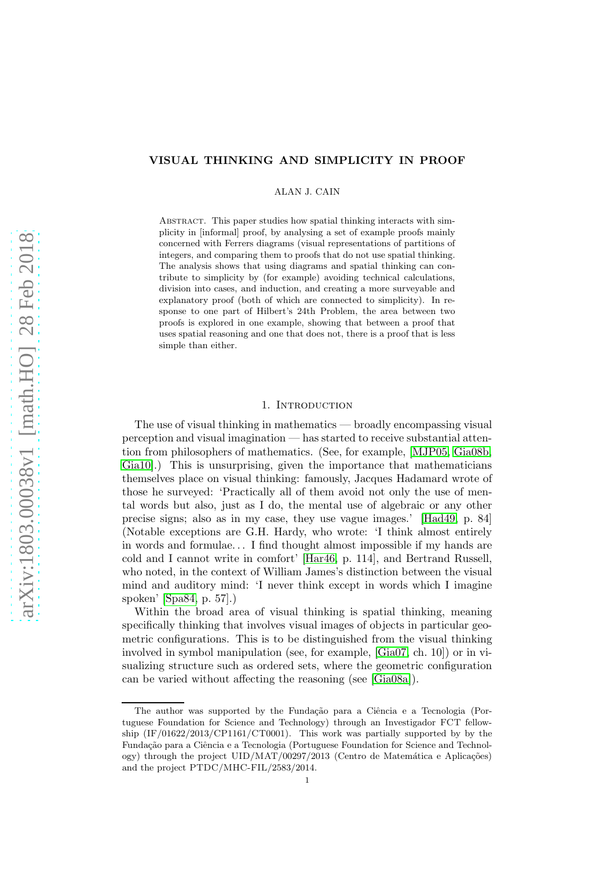## VISUAL THINKING AND SIMPLICITY IN PROOF

ALAN J. CAIN

Abstract. This paper studies how spatial thinking interacts with simplicity in [informal] proof, by analysing a set of example proofs mainly concerned with Ferrers diagrams (visual representations of partitions of integers, and comparing them to proofs that do not use spatial thinking. The analysis shows that using diagrams and spatial thinking can contribute to simplicity by (for example) avoiding technical calculations, division into cases, and induction, and creating a more surveyable and explanatory proof (both of which are connected to simplicity). In response to one part of Hilbert's 24th Problem, the area between two proofs is explored in one example, showing that between a proof that uses spatial reasoning and one that does not, there is a proof that is less simple than either.

### 1. INTRODUCTION

The use of visual thinking in mathematics — broadly encompassing visual perception and visual imagination — has started to receive substantial attention from philosophers of mathematics. (See, for example, [\[MJP05,](#page-13-0) [Gia08b,](#page-13-1) [Gia10\]](#page-13-2).) This is unsurprising, given the importance that mathematicians themselves place on visual thinking: famously, Jacques Hadamard wrote of those he surveyed: 'Practically all of them avoid not only the use of mental words but also, just as I do, the mental use of algebraic or any other precise signs; also as in my case, they use vague images.' [\[Had49,](#page-13-3) p. 84] (Notable exceptions are G.H. Hardy, who wrote: 'I think almost entirely in words and formulae. . . I find thought almost impossible if my hands are cold and I cannot write in comfort' [\[Har46,](#page-13-4) p. 114], and Bertrand Russell, who noted, in the context of William James's distinction between the visual mind and auditory mind: 'I never think except in words which I imagine spoken' [\[Spa84,](#page-14-0) p. 57].)

Within the broad area of visual thinking is spatial thinking, meaning specifically thinking that involves visual images of objects in particular geometric configurations. This is to be distinguished from the visual thinking involved in symbol manipulation (see, for example, [\[Gia07,](#page-13-5) ch. 10]) or in visualizing structure such as ordered sets, where the geometric configuration can be varied without affecting the reasoning (see [\[Gia08a\]](#page-13-6)).

The author was supported by the Fundação para a Ciência e a Tecnologia (Portuguese Foundation for Science and Technology) through an Investigador FCT fellowship (IF/01622/2013/CP1161/CT0001). This work was partially supported by by the Fundação para a Ciência e a Tecnologia (Portuguese Foundation for Science and Technology) through the project  $\text{UID}/\text{MAT}/00297/2013$  (Centro de Matemática e Aplicações) and the project PTDC/MHC-FIL/2583/2014.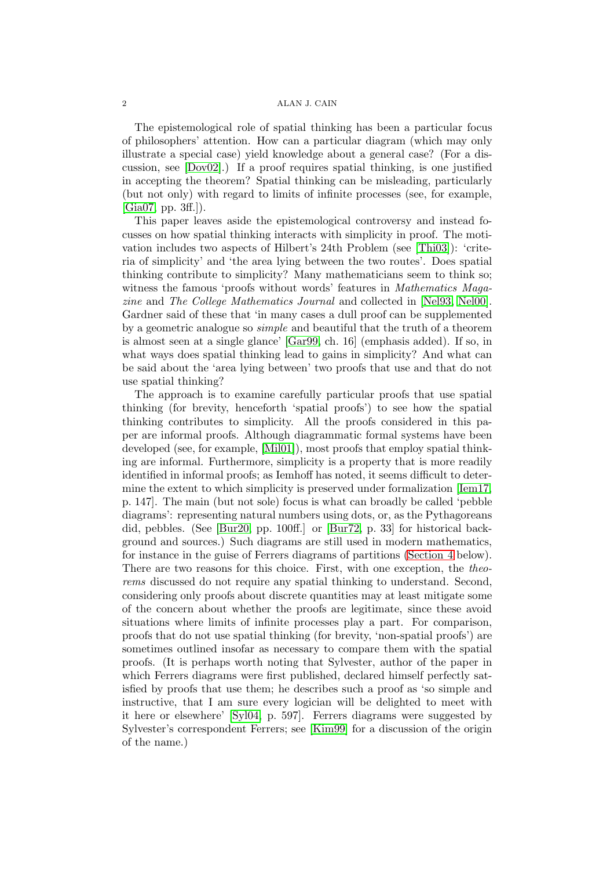#### 2 ALAN J. CAIN

The epistemological role of spatial thinking has been a particular focus of philosophers' attention. How can a particular diagram (which may only illustrate a special case) yield knowledge about a general case? (For a discussion, see [\[Dov02\]](#page-13-7).) If a proof requires spatial thinking, is one justified in accepting the theorem? Spatial thinking can be misleading, particularly (but not only) with regard to limits of infinite processes (see, for example,  $[Gia07, pp. 3ff.]).$  $[Gia07, pp. 3ff.]).$ 

This paper leaves aside the epistemological controversy and instead focusses on how spatial thinking interacts with simplicity in proof. The motivation includes two aspects of Hilbert's 24th Problem (see [\[Thi03\]](#page-14-1)): 'criteria of simplicity' and 'the area lying between the two routes'. Does spatial thinking contribute to simplicity? Many mathematicians seem to think so; witness the famous 'proofs without words' features in *Mathematics Maga*zine and The College Mathematics Journal and collected in [\[Nel93,](#page-13-8) [Nel00\]](#page-14-2). Gardner said of these that 'in many cases a dull proof can be supplemented by a geometric analogue so simple and beautiful that the truth of a theorem is almost seen at a single glance' [\[Gar99,](#page-13-9) ch. 16] (emphasis added). If so, in what ways does spatial thinking lead to gains in simplicity? And what can be said about the 'area lying between' two proofs that use and that do not use spatial thinking?

The approach is to examine carefully particular proofs that use spatial thinking (for brevity, henceforth 'spatial proofs') to see how the spatial thinking contributes to simplicity. All the proofs considered in this paper are informal proofs. Although diagrammatic formal systems have been developed (see, for example, [\[Mil01\]](#page-13-10)), most proofs that employ spatial thinking are informal. Furthermore, simplicity is a property that is more readily identified in informal proofs; as Iemhoff has noted, it seems difficult to determine the extent to which simplicity is preserved under formalization [\[Iem17,](#page-13-11) p. 147]. The main (but not sole) focus is what can broadly be called 'pebble diagrams': representing natural numbers using dots, or, as the Pythagoreans did, pebbles. (See [\[Bur20,](#page-12-0) pp. 100ff.] or [\[Bur72,](#page-12-1) p. 33] for historical background and sources.) Such diagrams are still used in modern mathematics, for instance in the guise of Ferrers diagrams of partitions [\(Section 4](#page-5-0) below). There are two reasons for this choice. First, with one exception, the theorems discussed do not require any spatial thinking to understand. Second, considering only proofs about discrete quantities may at least mitigate some of the concern about whether the proofs are legitimate, since these avoid situations where limits of infinite processes play a part. For comparison, proofs that do not use spatial thinking (for brevity, 'non-spatial proofs') are sometimes outlined insofar as necessary to compare them with the spatial proofs. (It is perhaps worth noting that Sylvester, author of the paper in which Ferrers diagrams were first published, declared himself perfectly satisfied by proofs that use them; he describes such a proof as 'so simple and instructive, that I am sure every logician will be delighted to meet with it here or elsewhere' [\[Syl04,](#page-14-3) p. 597]. Ferrers diagrams were suggested by Sylvester's correspondent Ferrers; see [\[Kim99\]](#page-13-12) for a discussion of the origin of the name.)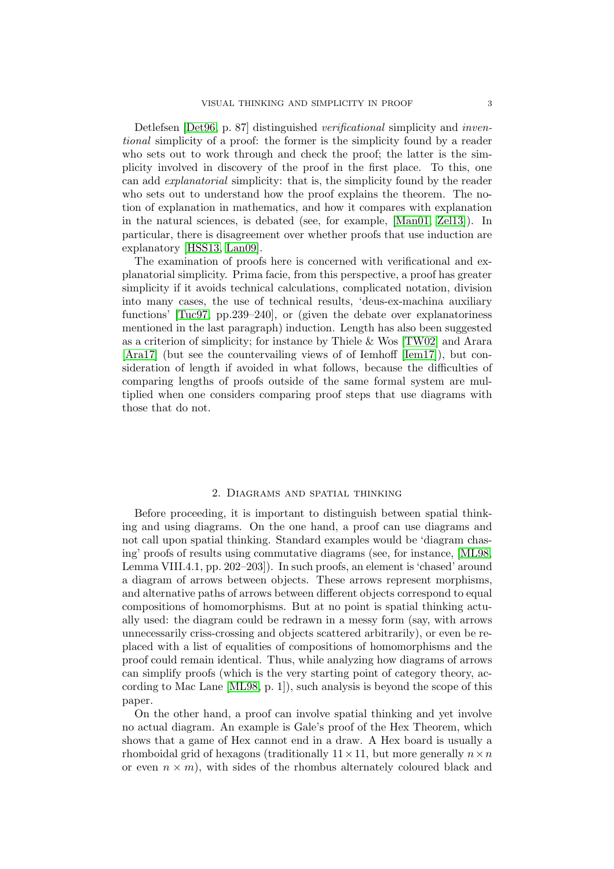Detlefsen [\[Det96,](#page-13-13) p. 87] distinguished *verificational* simplicity and *inven*tional simplicity of a proof: the former is the simplicity found by a reader who sets out to work through and check the proof; the latter is the simplicity involved in discovery of the proof in the first place. To this, one can add explanatorial simplicity: that is, the simplicity found by the reader who sets out to understand how the proof explains the theorem. The notion of explanation in mathematics, and how it compares with explanation in the natural sciences, is debated (see, for example, [\[Man01,](#page-13-14) [Zel13\]](#page-14-4)). In particular, there is disagreement over whether proofs that use induction are explanatory [\[HSS13,](#page-13-15) [Lan09\]](#page-13-16).

The examination of proofs here is concerned with verificational and explanatorial simplicity. Prima facie, from this perspective, a proof has greater simplicity if it avoids technical calculations, complicated notation, division into many cases, the use of technical results, 'deus-ex-machina auxiliary functions' [\[Tuc97,](#page-14-5) pp.239–240], or (given the debate over explanatoriness mentioned in the last paragraph) induction. Length has also been suggested as a criterion of simplicity; for instance by Thiele & Wos [\[TW02\]](#page-14-6) and Arara [\[Ara17\]](#page-12-2) (but see the countervailing views of of Iemhoff [\[Iem17\]](#page-13-11)), but consideration of length if avoided in what follows, because the difficulties of comparing lengths of proofs outside of the same formal system are multiplied when one considers comparing proof steps that use diagrams with those that do not.

## 2. Diagrams and spatial thinking

Before proceeding, it is important to distinguish between spatial thinking and using diagrams. On the one hand, a proof can use diagrams and not call upon spatial thinking. Standard examples would be 'diagram chasing' proofs of results using commutative diagrams (see, for instance, [\[ML98,](#page-13-17) Lemma VIII.4.1, pp. 202–203]). In such proofs, an element is 'chased' around a diagram of arrows between objects. These arrows represent morphisms, and alternative paths of arrows between different objects correspond to equal compositions of homomorphisms. But at no point is spatial thinking actually used: the diagram could be redrawn in a messy form (say, with arrows unnecessarily criss-crossing and objects scattered arbitrarily), or even be replaced with a list of equalities of compositions of homomorphisms and the proof could remain identical. Thus, while analyzing how diagrams of arrows can simplify proofs (which is the very starting point of category theory, according to Mac Lane [\[ML98,](#page-13-17) p. 1]), such analysis is beyond the scope of this paper.

On the other hand, a proof can involve spatial thinking and yet involve no actual diagram. An example is Gale's proof of the Hex Theorem, which shows that a game of Hex cannot end in a draw. A Hex board is usually a rhomboidal grid of hexagons (traditionally  $11 \times 11$ , but more generally  $n \times n$ or even  $n \times m$ , with sides of the rhombus alternately coloured black and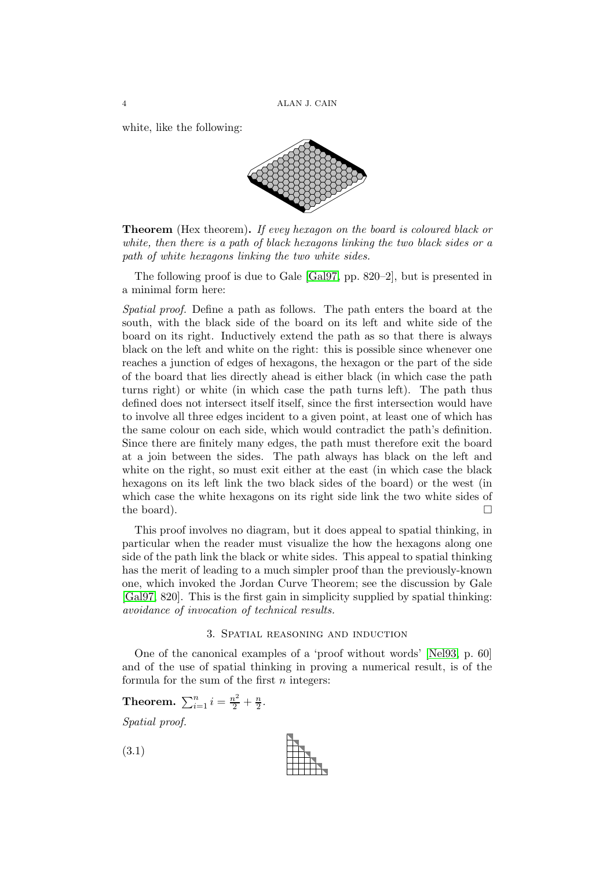white, like the following:



**Theorem** (Hex theorem). If evey hexagon on the board is coloured black or white, then there is a path of black hexagons linking the two black sides or a path of white hexagons linking the two white sides.

The following proof is due to Gale [\[Gal97,](#page-13-18) pp. 820–2], but is presented in a minimal form here:

Spatial proof. Define a path as follows. The path enters the board at the south, with the black side of the board on its left and white side of the board on its right. Inductively extend the path as so that there is always black on the left and white on the right: this is possible since whenever one reaches a junction of edges of hexagons, the hexagon or the part of the side of the board that lies directly ahead is either black (in which case the path turns right) or white (in which case the path turns left). The path thus defined does not intersect itself itself, since the first intersection would have to involve all three edges incident to a given point, at least one of which has the same colour on each side, which would contradict the path's definition. Since there are finitely many edges, the path must therefore exit the board at a join between the sides. The path always has black on the left and white on the right, so must exit either at the east (in which case the black hexagons on its left link the two black sides of the board) or the west (in which case the white hexagons on its right side link the two white sides of the board).  $\Box$ 

This proof involves no diagram, but it does appeal to spatial thinking, in particular when the reader must visualize the how the hexagons along one side of the path link the black or white sides. This appeal to spatial thinking has the merit of leading to a much simpler proof than the previously-known one, which invoked the Jordan Curve Theorem; see the discussion by Gale [\[Gal97,](#page-13-18) 820]. This is the first gain in simplicity supplied by spatial thinking: avoidance of invocation of technical results.

## 3. Spatial reasoning and induction

<span id="page-3-0"></span>One of the canonical examples of a 'proof without words' [\[Nel93,](#page-13-8) p. 60] and of the use of spatial thinking in proving a numerical result, is of the formula for the sum of the first  $n$  integers:

<span id="page-3-1"></span>.

**Theorem.** 
$$
\sum_{i=1}^{n} i = \frac{n^2}{2} + \frac{n}{2}
$$

Spatial proof.

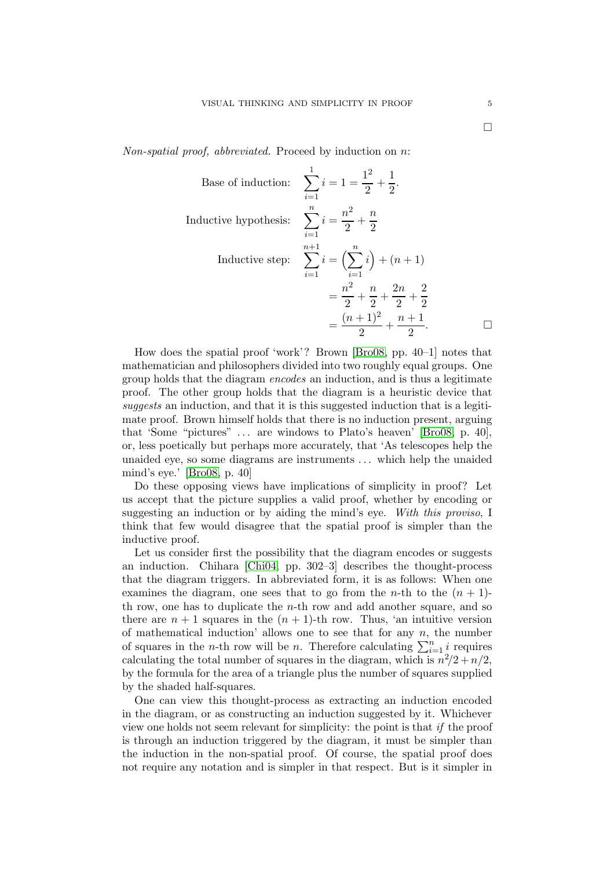Non-spatial proof, abbreviated. Proceed by induction on  $n$ :

Base of induction: 
$$
\sum_{i=1}^{1} i = 1 = \frac{1^2}{2} + \frac{1}{2}.
$$
  
Inductive hypothesis: 
$$
\sum_{i=1}^{n} i = \frac{n^2}{2} + \frac{n}{2}
$$
  
Inductive step: 
$$
\sum_{i=1}^{n+1} i = \left(\sum_{i=1}^{n} i\right) + (n+1)
$$

$$
= \frac{n^2}{2} + \frac{n}{2} + \frac{2n}{2} + \frac{2}{2}
$$

$$
= \frac{(n+1)^2}{2} + \frac{n+1}{2}.
$$

How does the spatial proof 'work'? Brown [\[Bro08,](#page-12-3) pp. 40–1] notes that mathematician and philosophers divided into two roughly equal groups. One group holds that the diagram encodes an induction, and is thus a legitimate proof. The other group holds that the diagram is a heuristic device that suggests an induction, and that it is this suggested induction that is a legitimate proof. Brown himself holds that there is no induction present, arguing that 'Some "pictures" . . . are windows to Plato's heaven' [\[Bro08,](#page-12-3) p. 40], or, less poetically but perhaps more accurately, that 'As telescopes help the unaided eye, so some diagrams are instruments . . . which help the unaided mind's eye.' [\[Bro08,](#page-12-3) p. 40]

Do these opposing views have implications of simplicity in proof? Let us accept that the picture supplies a valid proof, whether by encoding or suggesting an induction or by aiding the mind's eye. With this proviso, I think that few would disagree that the spatial proof is simpler than the inductive proof.

Let us consider first the possibility that the diagram encodes or suggests an induction. Chihara [\[Chi04,](#page-13-19) pp. 302–3] describes the thought-process that the diagram triggers. In abbreviated form, it is as follows: When one examines the diagram, one sees that to go from the *n*-th to the  $(n + 1)$ th row, one has to duplicate the n-th row and add another square, and so there are  $n + 1$  squares in the  $(n + 1)$ -th row. Thus, 'an intuitive version of mathematical induction' allows one to see that for any  $n$ , the number of squares in the *n*-th row will be *n*. Therefore calculating  $\sum_{i=1}^{n} i$  requires calculating the total number of squares in the diagram, which is  $n^2/2 + n/2$ , by the formula for the area of a triangle plus the number of squares supplied by the shaded half-squares.

One can view this thought-process as extracting an induction encoded in the diagram, or as constructing an induction suggested by it. Whichever view one holds not seem relevant for simplicity: the point is that if the proof is through an induction triggered by the diagram, it must be simpler than the induction in the non-spatial proof. Of course, the spatial proof does not require any notation and is simpler in that respect. But is it simpler in

 $\Box$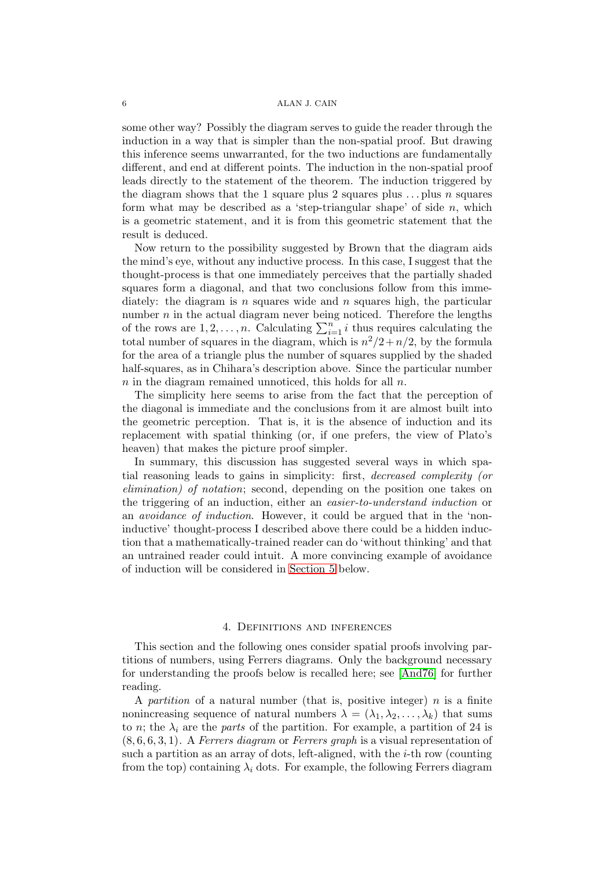#### 6 ALAN J. CAIN

some other way? Possibly the diagram serves to guide the reader through the induction in a way that is simpler than the non-spatial proof. But drawing this inference seems unwarranted, for the two inductions are fundamentally different, and end at different points. The induction in the non-spatial proof leads directly to the statement of the theorem. The induction triggered by the diagram shows that the 1 square plus 2 squares plus  $\dots$  plus n squares form what may be described as a 'step-triangular shape' of side  $n$ , which is a geometric statement, and it is from this geometric statement that the result is deduced.

Now return to the possibility suggested by Brown that the diagram aids the mind's eye, without any inductive process. In this case, I suggest that the thought-process is that one immediately perceives that the partially shaded squares form a diagonal, and that two conclusions follow from this immediately: the diagram is n squares wide and n squares high, the particular number  $n$  in the actual diagram never being noticed. Therefore the lengths of the rows are  $1, 2, \ldots, n$ . Calculating  $\sum_{i=1}^{n} i$  thus requires calculating the total number of squares in the diagram, which is  $n^2/2 + n/2$ , by the formula for the area of a triangle plus the number of squares supplied by the shaded half-squares, as in Chihara's description above. Since the particular number  $n$  in the diagram remained unnoticed, this holds for all  $n$ .

The simplicity here seems to arise from the fact that the perception of the diagonal is immediate and the conclusions from it are almost built into the geometric perception. That is, it is the absence of induction and its replacement with spatial thinking (or, if one prefers, the view of Plato's heaven) that makes the picture proof simpler.

In summary, this discussion has suggested several ways in which spatial reasoning leads to gains in simplicity: first, decreased complexity (or elimination) of notation; second, depending on the position one takes on the triggering of an induction, either an easier-to-understand induction or an avoidance of induction. However, it could be argued that in the 'noninductive' thought-process I described above there could be a hidden induction that a mathematically-trained reader can do 'without thinking' and that an untrained reader could intuit. A more convincing example of avoidance of induction will be considered in [Section 5](#page-7-0) below.

## 4. Definitions and inferences

<span id="page-5-0"></span>This section and the following ones consider spatial proofs involving partitions of numbers, using Ferrers diagrams. Only the background necessary for understanding the proofs below is recalled here; see [\[And76\]](#page-12-4) for further reading.

A partition of a natural number (that is, positive integer)  $n$  is a finite nonincreasing sequence of natural numbers  $\lambda = (\lambda_1, \lambda_2, \dots, \lambda_k)$  that sums to *n*; the  $\lambda_i$  are the *parts* of the partition. For example, a partition of 24 is  $(8, 6, 6, 3, 1)$ . A Ferrers diagram or Ferrers graph is a visual representation of such a partition as an array of dots, left-aligned, with the  $i$ -th row (counting from the top) containing  $\lambda_i$  dots. For example, the following Ferrers diagram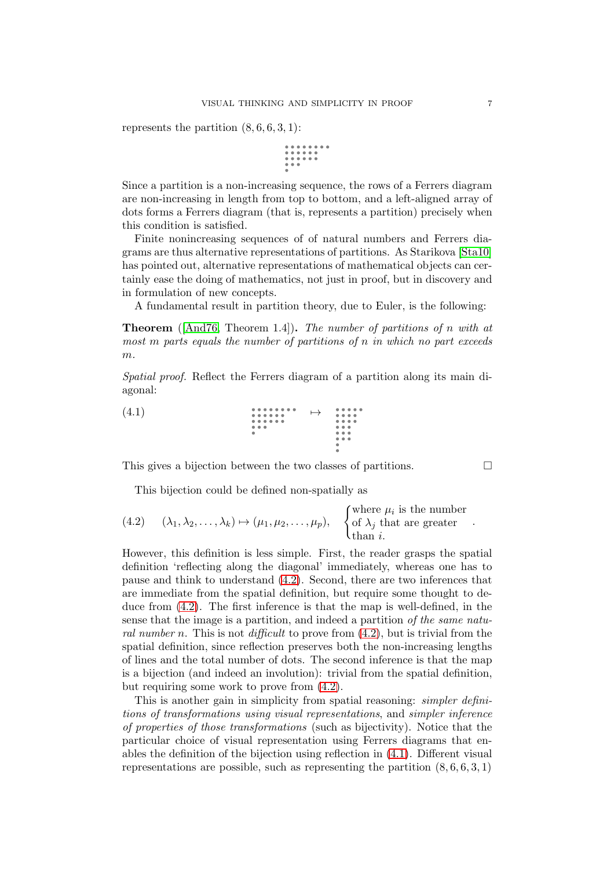represents the partition  $(8, 6, 6, 3, 1)$ :

Since a partition is a non-increasing sequence, the rows of a Ferrers diagram are non-increasing in length from top to bottom, and a left-aligned array of dots forms a Ferrers diagram (that is, represents a partition) precisely when this condition is satisfied.

Finite nonincreasing sequences of of natural numbers and Ferrers diagrams are thus alternative representations of partitions. As Starikova [\[Sta10\]](#page-14-7) has pointed out, alternative representations of mathematical objects can certainly ease the doing of mathematics, not just in proof, but in discovery and in formulation of new concepts.

A fundamental result in partition theory, due to Euler, is the following:

Theorem ([\[And76,](#page-12-4) Theorem 1.4]). The number of partitions of n with at most m parts equals the number of partitions of n in which no part exceeds  $m$ .

<span id="page-6-1"></span>Spatial proof. Reflect the Ferrers diagram of a partition along its main diagonal:



This gives a bijection between the two classes of partitions.  $\Box$ 

<span id="page-6-0"></span>This bijection could be defined non-spatially as

(4.2) 
$$
(\lambda_1, \lambda_2, ..., \lambda_k) \mapsto (\mu_1, \mu_2, ..., \mu_p), \quad \begin{cases} \text{where } \mu_i \text{ is the number} \\ \text{of } \lambda_j \text{ that are greater} \\ \text{than } i. \end{cases}
$$

However, this definition is less simple. First, the reader grasps the spatial definition 'reflecting along the diagonal' immediately, whereas one has to pause and think to understand [\(4.2\)](#page-6-0). Second, there are two inferences that are immediate from the spatial definition, but require some thought to deduce from [\(4.2\)](#page-6-0). The first inference is that the map is well-defined, in the sense that the image is a partition, and indeed a partition of the same natural number n. This is not difficult to prove from  $(4.2)$ , but is trivial from the spatial definition, since reflection preserves both the non-increasing lengths of lines and the total number of dots. The second inference is that the map is a bijection (and indeed an involution): trivial from the spatial definition, but requiring some work to prove from [\(4.2\)](#page-6-0).

This is another gain in simplicity from spatial reasoning: *simpler defini*tions of transformations using visual representations, and simpler inference of properties of those transformations (such as bijectivity). Notice that the particular choice of visual representation using Ferrers diagrams that enables the definition of the bijection using reflection in [\(4.1\)](#page-6-1). Different visual representations are possible, such as representing the partition  $(8, 6, 6, 3, 1)$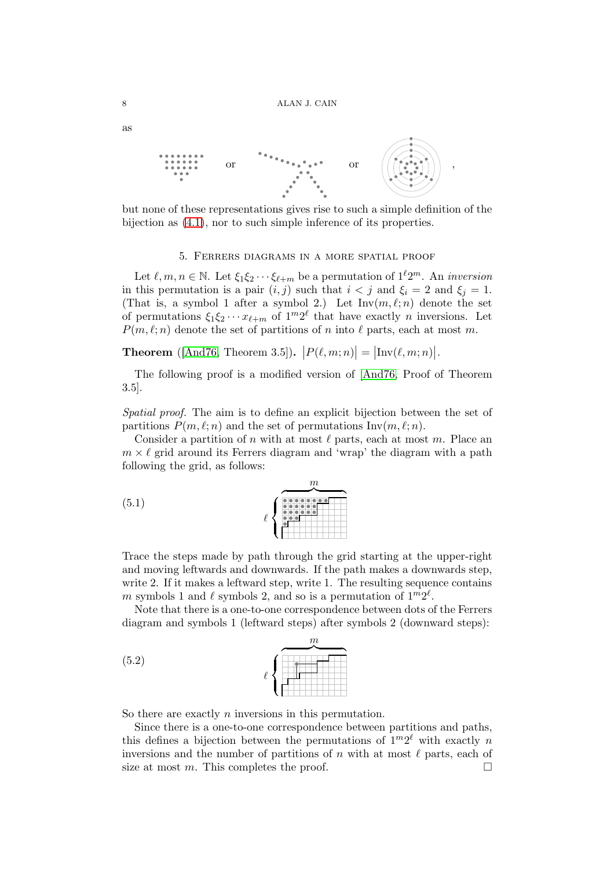

but none of these representations gives rise to such a simple definition of the bijection as  $(4.1)$ , nor to such simple inference of its properties.

## 5. Ferrers diagrams in a more spatial proof

<span id="page-7-0"></span>Let  $\ell, m, n \in \mathbb{N}$ . Let  $\xi_1 \xi_2 \cdots \xi_{\ell+m}$  be a permutation of  $1^{\ell}2^m$ . An *inversion* in this permutation is a pair  $(i, j)$  such that  $i < j$  and  $\xi_i = 2$  and  $\xi_j = 1$ . (That is, a symbol 1 after a symbol 2.) Let  $\text{Inv}(m,\ell;n)$  denote the set of permutations  $\xi_1 \xi_2 \cdots x_{\ell+m}$  of  $1^m 2^{\ell}$  that have exactly *n* inversions. Let  $P(m, \ell; n)$  denote the set of partitions of n into  $\ell$  parts, each at most m.

**Theorem** ([\[And76,](#page-12-4) Theorem 3.5]).  $|P(\ell,m;n)| = |\text{Inv}(\ell,m;n)|$ .

The following proof is a modified version of [\[And76,](#page-12-4) Proof of Theorem 3.5].

Spatial proof. The aim is to define an explicit bijection between the set of partitions  $P(m, \ell; n)$  and the set of permutations Inv $(m, \ell; n)$ .

Consider a partition of n with at most  $\ell$  parts, each at most m. Place an  $m \times \ell$  grid around its Ferrers diagram and 'wrap' the diagram with a path following the grid, as follows:

<span id="page-7-1"></span>

Trace the steps made by path through the grid starting at the upper-right and moving leftwards and downwards. If the path makes a downwards step, write 2. If it makes a leftward step, write 1. The resulting sequence contains m symbols 1 and  $\ell$  symbols 2, and so is a permutation of  $1^m 2^{\ell}$ .

Note that there is a one-to-one correspondence between dots of the Ferrers diagram and symbols 1 (leftward steps) after symbols 2 (downward steps):



So there are exactly  $n$  inversions in this permutation.

Since there is a one-to-one correspondence between partitions and paths, this defines a bijection between the permutations of  $1^m 2^{\ell}$  with exactly n inversions and the number of partitions of n with at most  $\ell$  parts, each of size at most m. This completes the proof.  $\Box$ 

as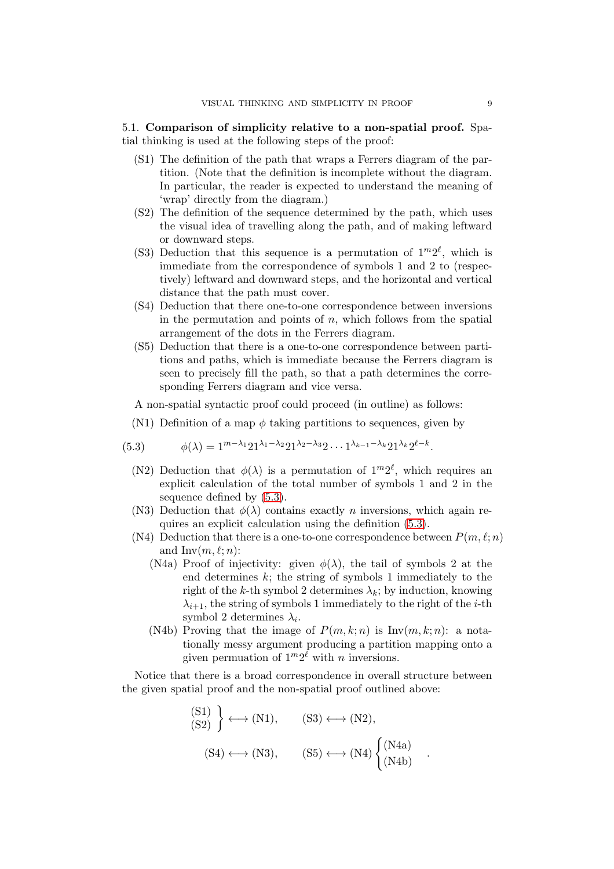# 5.1. Comparison of simplicity relative to a non-spatial proof. Spatial thinking is used at the following steps of the proof:

- (S1) The definition of the path that wraps a Ferrers diagram of the partition. (Note that the definition is incomplete without the diagram. In particular, the reader is expected to understand the meaning of 'wrap' directly from the diagram.)
- (S2) The definition of the sequence determined by the path, which uses the visual idea of travelling along the path, and of making leftward or downward steps.
- (S3) Deduction that this sequence is a permutation of  $1^m2^{\ell}$ , which is immediate from the correspondence of symbols 1 and 2 to (respectively) leftward and downward steps, and the horizontal and vertical distance that the path must cover.
- (S4) Deduction that there one-to-one correspondence between inversions in the permutation and points of  $n$ , which follows from the spatial arrangement of the dots in the Ferrers diagram.
- (S5) Deduction that there is a one-to-one correspondence between partitions and paths, which is immediate because the Ferrers diagram is seen to precisely fill the path, so that a path determines the corresponding Ferrers diagram and vice versa.

A non-spatial syntactic proof could proceed (in outline) as follows:

(N1) Definition of a map  $\phi$  taking partitions to sequences, given by

(5.3) 
$$
\phi(\lambda) = 1^{m-\lambda_1} 21^{\lambda_1-\lambda_2} 21^{\lambda_2-\lambda_3} 2 \cdots 1^{\lambda_{k-1}-\lambda_k} 21^{\lambda_k} 2^{\ell-k}.
$$

- <span id="page-8-0"></span>(N2) Deduction that  $\phi(\lambda)$  is a permutation of  $1^m 2^{\ell}$ , which requires an explicit calculation of the total number of symbols 1 and 2 in the sequence defined by [\(5.3\)](#page-8-0).
- (N3) Deduction that  $\phi(\lambda)$  contains exactly *n* inversions, which again requires an explicit calculation using the definition [\(5.3\)](#page-8-0).
- (N4) Deduction that there is a one-to-one correspondence between  $P(m, \ell; n)$ and  $Inv(m, \ell; n)$ :
	- (N4a) Proof of injectivity: given  $\phi(\lambda)$ , the tail of symbols 2 at the end determines  $k$ ; the string of symbols 1 immediately to the right of the k-th symbol 2 determines  $\lambda_k$ ; by induction, knowing  $\lambda_{i+1}$ , the string of symbols 1 immediately to the right of the *i*-th symbol 2 determines  $\lambda_i$ .
	- (N4b) Proving that the image of  $P(m, k; n)$  is Inv $(m, k; n)$ : a notationally messy argument producing a partition mapping onto a given permuation of  $1^m 2^{\ell}$  with *n* inversions.

Notice that there is a broad correspondence in overall structure between the given spatial proof and the non-spatial proof outlined above:

$$
\begin{aligned}\n\text{(S1)} \\
\text{(S2)}\n\end{aligned}\n\longleftrightarrow (N1), \qquad\n\text{(S3)} \longleftrightarrow (N2), \\
\text{(S4)} \longleftrightarrow (N3), \qquad\n\text{(S5)} \longleftrightarrow (N4)\n\begin{cases}\n(N4a) \\
(N4b)\n\end{cases}.
$$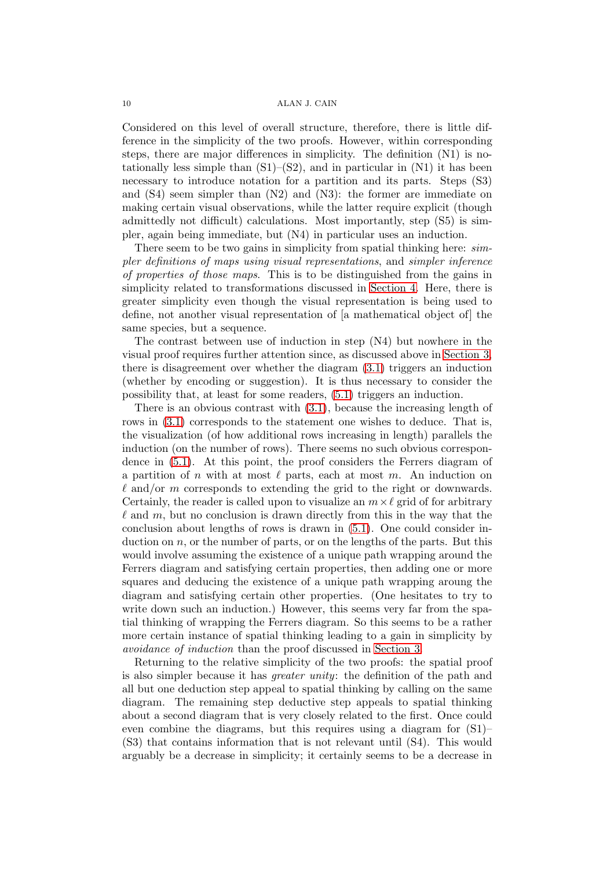#### 10 ALAN J. CAIN

Considered on this level of overall structure, therefore, there is little difference in the simplicity of the two proofs. However, within corresponding steps, there are major differences in simplicity. The definition (N1) is notationally less simple than  $(S1)–(S2)$ , and in particular in  $(N1)$  it has been necessary to introduce notation for a partition and its parts. Steps (S3) and  $(S4)$  seem simpler than  $(N2)$  and  $(N3)$ : the former are immediate on making certain visual observations, while the latter require explicit (though admittedly not difficult) calculations. Most importantly, step (S5) is simpler, again being immediate, but (N4) in particular uses an induction.

There seem to be two gains in simplicity from spatial thinking here:  $sim$ pler definitions of maps using visual representations, and simpler inference of properties of those maps. This is to be distinguished from the gains in simplicity related to transformations discussed in [Section 4.](#page-5-0) Here, there is greater simplicity even though the visual representation is being used to define, not another visual representation of [a mathematical object of] the same species, but a sequence.

The contrast between use of induction in step (N4) but nowhere in the visual proof requires further attention since, as discussed above in [Section 3,](#page-3-0) there is disagreement over whether the diagram [\(3.1\)](#page-3-1) triggers an induction (whether by encoding or suggestion). It is thus necessary to consider the possibility that, at least for some readers, [\(5.1\)](#page-7-1) triggers an induction.

There is an obvious contrast with [\(3.1\)](#page-3-1), because the increasing length of rows in  $(3.1)$  corresponds to the statement one wishes to deduce. That is, the visualization (of how additional rows increasing in length) parallels the induction (on the number of rows). There seems no such obvious correspondence in [\(5.1\)](#page-7-1). At this point, the proof considers the Ferrers diagram of a partition of n with at most  $\ell$  parts, each at most m. An induction on  $\ell$  and/or m corresponds to extending the grid to the right or downwards. Certainly, the reader is called upon to visualize an  $m \times \ell$  grid of for arbitrary  $\ell$  and  $m$ , but no conclusion is drawn directly from this in the way that the conclusion about lengths of rows is drawn in [\(5.1\)](#page-7-1). One could consider induction on n, or the number of parts, or on the lengths of the parts. But this would involve assuming the existence of a unique path wrapping around the Ferrers diagram and satisfying certain properties, then adding one or more squares and deducing the existence of a unique path wrapping aroung the diagram and satisfying certain other properties. (One hesitates to try to write down such an induction.) However, this seems very far from the spatial thinking of wrapping the Ferrers diagram. So this seems to be a rather more certain instance of spatial thinking leading to a gain in simplicity by avoidance of induction than the proof discussed in [Section 3.](#page-3-0)

Returning to the relative simplicity of the two proofs: the spatial proof is also simpler because it has greater unity: the definition of the path and all but one deduction step appeal to spatial thinking by calling on the same diagram. The remaining step deductive step appeals to spatial thinking about a second diagram that is very closely related to the first. Once could even combine the diagrams, but this requires using a diagram for (S1)– (S3) that contains information that is not relevant until (S4). This would arguably be a decrease in simplicity; it certainly seems to be a decrease in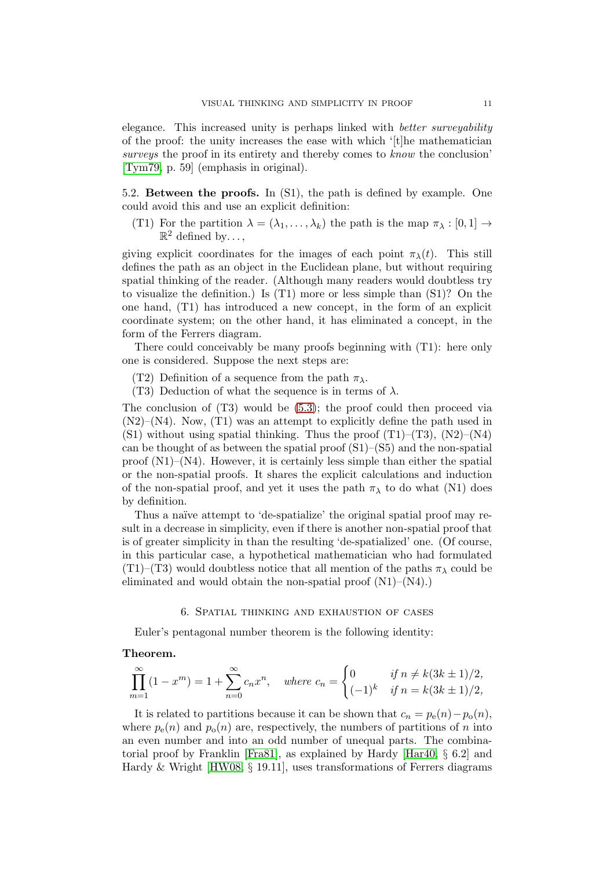elegance. This increased unity is perhaps linked with better surveyability of the proof: the unity increases the ease with which '[t]he mathematician surveys the proof in its entirety and thereby comes to know the conclusion' [\[Tym79,](#page-14-8) p. 59] (emphasis in original).

5.2. Between the proofs. In (S1), the path is defined by example. One could avoid this and use an explicit definition:

(T1) For the partition  $\lambda = (\lambda_1, \ldots, \lambda_k)$  the path is the map  $\pi_{\lambda} : [0, 1] \rightarrow$  $\mathbb{R}^2$  defined by...,

giving explicit coordinates for the images of each point  $\pi_{\lambda}(t)$ . This still defines the path as an object in the Euclidean plane, but without requiring spatial thinking of the reader. (Although many readers would doubtless try to visualize the definition.) Is (T1) more or less simple than (S1)? On the one hand, (T1) has introduced a new concept, in the form of an explicit coordinate system; on the other hand, it has eliminated a concept, in the form of the Ferrers diagram.

There could conceivably be many proofs beginning with (T1): here only one is considered. Suppose the next steps are:

(T2) Definition of a sequence from the path  $\pi_{\lambda}$ .

(T3) Deduction of what the sequence is in terms of  $\lambda$ .

The conclusion of (T3) would be [\(5.3\)](#page-8-0); the proof could then proceed via  $(N2)$ – $(N4)$ . Now,  $(T1)$  was an attempt to explicitly define the path used in (S1) without using spatial thinking. Thus the proof  $(T1)$ – $(T3)$ ,  $(N2)$ – $(N4)$ can be thought of as between the spatial proof  $(S1)$ – $(S5)$  and the non-spatial proof  $(N1)–(N4)$ . However, it is certainly less simple than either the spatial or the non-spatial proofs. It shares the explicit calculations and induction of the non-spatial proof, and yet it uses the path  $\pi_{\lambda}$  to do what (N1) does by definition.

Thus a naïve attempt to 'de-spatialize' the original spatial proof may result in a decrease in simplicity, even if there is another non-spatial proof that is of greater simplicity in than the resulting 'de-spatialized' one. (Of course, in this particular case, a hypothetical mathematician who had formulated (T1)–(T3) would doubtless notice that all mention of the paths  $\pi_{\lambda}$  could be eliminated and would obtain the non-spatial proof (N1)–(N4).)

## 6. Spatial thinking and exhaustion of cases

Euler's pentagonal number theorem is the following identity:

## Theorem.

$$
\prod_{m=1}^{\infty} (1-x^m) = 1 + \sum_{n=0}^{\infty} c_n x^n, \quad where \ c_n = \begin{cases} 0 & \text{if } n \neq k(3k \pm 1)/2, \\ (-1)^k & \text{if } n = k(3k \pm 1)/2, \end{cases}
$$

It is related to partitions because it can be shown that  $c_n = p_e(n) - p_o(n)$ , where  $p_e(n)$  and  $p_o(n)$  are, respectively, the numbers of partitions of n into an even number and into an odd number of unequal parts. The combinatorial proof by Franklin [\[Fra81\]](#page-13-20), as explained by Hardy [\[Har40,](#page-13-21) § 6.2] and Hardy & Wright [\[HW08,](#page-13-22) § 19.11], uses transformations of Ferrers diagrams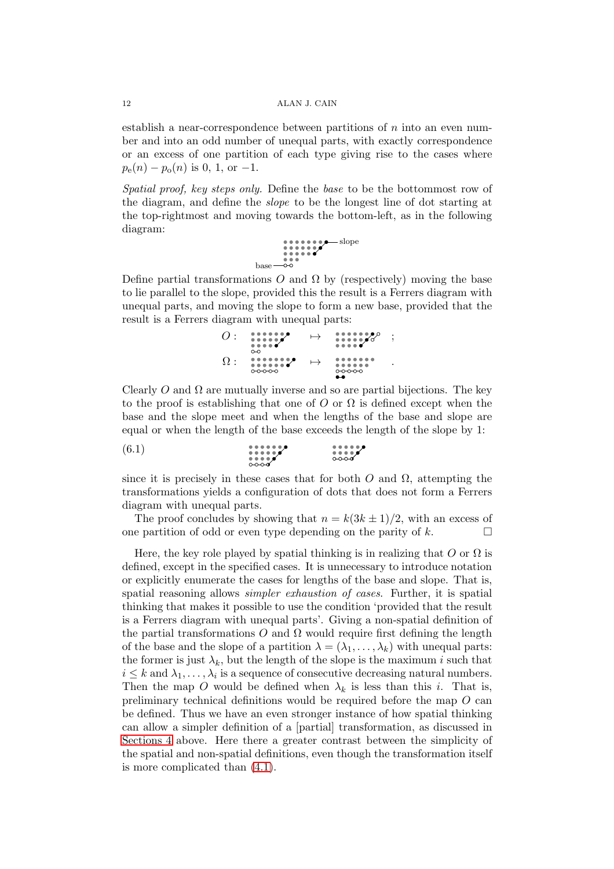establish a near-correspondence between partitions of  $n$  into an even number and into an odd number of unequal parts, with exactly correspondence or an excess of one partition of each type giving rise to the cases where  $p_e(n) - p_o(n)$  is 0, 1, or -1.

Spatial proof, key steps only. Define the base to be the bottommost row of the diagram, and define the slope to be the longest line of dot starting at the top-rightmost and moving towards the bottom-left, as in the following diagram:

$$
\begin{array}{c}\n \bullet \bullet \bullet \bullet \bullet \bullet \bullet \bullet \bullet \bullet \bullet \\
 \bullet \bullet \bullet \bullet \bullet \bullet \\
 \bullet \bullet \bullet \bullet \\
 \bullet \bullet \bullet \bullet\n \end{array}
$$
 slope

Define partial transformations O and  $\Omega$  by (respectively) moving the base to lie parallel to the slope, provided this the result is a Ferrers diagram with unequal parts, and moving the slope to form a new base, provided that the result is a Ferrers diagram with unequal parts:

O : 7→ ; Ω : 7→ .

Clearly O and  $\Omega$  are mutually inverse and so are partial bijections. The key to the proof is establishing that one of  $O$  or  $\Omega$  is defined except when the base and the slope meet and when the lengths of the base and slope are equal or when the length of the base exceeds the length of the slope by 1:

$$
\begin{array}{c}\n\text{(6.1)}\\
\text{...}\\
\text{...}\\
\text{...}\\
\text{...}\\
\text{...}\\
\text{...}\\
\text{...}\\
\text{...}\\
\text{...}\\
\text{...}\\
\text{...}\\
\text{...}\\
\text{...}\\
\text{...}\\
\text{...}\\
\text{...}\\
\text{...}\\
\text{...}\\
\text{...}\\
\text{...}\\
\text{...}\\
\text{...}\\
\text{...}\\
\text{...}\\
\text{...}\\
\text{...}\\
\text{...}\\
\text{...}\\
\text{...}\\
\text{...}\\
\text{...}\\
\text{...}\\
\text{...}\\
\text{...}\\
\text{...}\\
\text{...}\\
\text{...}\\
\text{...}\\
\text{...}\\
\text{...}\\
\text{...}\\
\text{...}\\
\text{...}\\
\text{...}\\
\text{...}\\
\text{...}\\
\text{...}\\
\text{...}\\
\text{...}\\
\text{...}\\
\text{...}\\
\text{...}\\
\text{...}\\
\text{...}\\
\text{...}\\
\text{...}\\
\text{...}\\
\text{...}\\
\text{...}\\
\text{...}\\
\text{...}\\
\text{...}\\
\text{...}\\
\text{...}\\
\text{...}\\
\text{...}\\
\text{...}\\
\text{...}\\
\text{...}\\
\text{...}\\
\text{...}\\
\text{...}\\
\text{...}\\
\text{...}\\
\text{...}\\
\text{...}\\
\text{...}\\
\text{...}\\
\text{...}\\
\text{...}\\
\text{...}\\
\text{...}\\
\text{...}\\
\text{...}\\
\text{...}\\
\text{...}\\
\text{...}\\
\text{...}\\
\text{...}\\
\text{...}\\
\text{...}\\
\text{...}\\
\text{...}\\
\text{...}\\
\text{...}\\
\text{...}\\
\text{...}\\
\text{...}\\
\text{...}\\
\text{...}\\
\text{...}\\
\text{...}\\
\text{...}\\
\text{...}\\
\text{...}\\
\text{...}\\
\text{...}\\
\text{...}\\
\text{...}\\
\text{...}\\
\text{...}\\
\text{...}\\
\text{...}\\
\text{...}\\
\text{...}\\
\text{...}\\
\text{...}\\
\text{...}\\
\text{...}\\
\text{...}\\
\text{...}\\
\text{...}\\
\text{...}\\
\text{...}\\
$$

since it is precisely in these cases that for both  $O$  and  $\Omega$ , attempting the transformations yields a configuration of dots that does not form a Ferrers diagram with unequal parts.

The proof concludes by showing that  $n = k(3k \pm 1)/2$ , with an excess of one partition of odd or even type depending on the parity of k.  $\Box$ 

Here, the key role played by spatial thinking is in realizing that  $O$  or  $\Omega$  is defined, except in the specified cases. It is unnecessary to introduce notation or explicitly enumerate the cases for lengths of the base and slope. That is, spatial reasoning allows *simpler exhaustion of cases*. Further, it is spatial thinking that makes it possible to use the condition 'provided that the result is a Ferrers diagram with unequal parts'. Giving a non-spatial definition of the partial transformations O and  $\Omega$  would require first defining the length of the base and the slope of a partition  $\lambda = (\lambda_1, \ldots, \lambda_k)$  with unequal parts: the former is just  $\lambda_k$ , but the length of the slope is the maximum i such that  $i \leq k$  and  $\lambda_1, \ldots, \lambda_i$  is a sequence of consecutive decreasing natural numbers. Then the map O would be defined when  $\lambda_k$  is less than this i. That is, preliminary technical definitions would be required before the map O can be defined. Thus we have an even stronger instance of how spatial thinking can allow a simpler definition of a [partial] transformation, as discussed in [Sections 4](#page-5-0) above. Here there a greater contrast between the simplicity of the spatial and non-spatial definitions, even though the transformation itself is more complicated than [\(4.1\)](#page-6-1).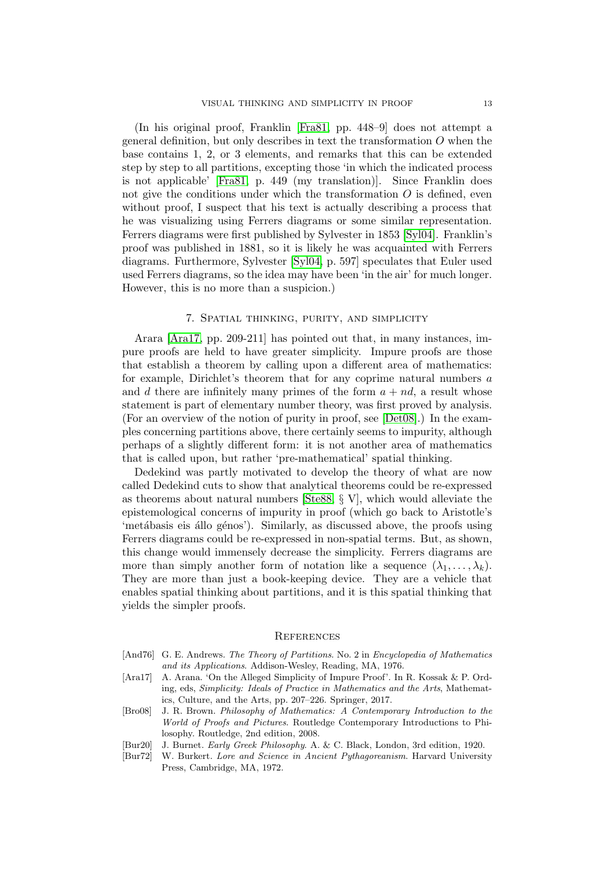(In his original proof, Franklin [\[Fra81,](#page-13-20) pp. 448–9] does not attempt a general definition, but only describes in text the transformation  $O$  when the base contains 1, 2, or 3 elements, and remarks that this can be extended step by step to all partitions, excepting those 'in which the indicated process is not applicable' [\[Fra81,](#page-13-20) p. 449 (my translation)]. Since Franklin does not give the conditions under which the transformation  $O$  is defined, even without proof, I suspect that his text is actually describing a process that he was visualizing using Ferrers diagrams or some similar representation. Ferrers diagrams were first published by Sylvester in 1853 [\[Syl04\]](#page-14-3). Franklin's proof was published in 1881, so it is likely he was acquainted with Ferrers diagrams. Furthermore, Sylvester [\[Syl04,](#page-14-3) p. 597] speculates that Euler used used Ferrers diagrams, so the idea may have been 'in the air' for much longer. However, this is no more than a suspicion.)

### 7. Spatial thinking, purity, and simplicity

Arara [\[Ara17,](#page-12-2) pp. 209-211] has pointed out that, in many instances, impure proofs are held to have greater simplicity. Impure proofs are those that establish a theorem by calling upon a different area of mathematics: for example, Dirichlet's theorem that for any coprime natural numbers a and d there are infinitely many primes of the form  $a + nd$ , a result whose statement is part of elementary number theory, was first proved by analysis. (For an overview of the notion of purity in proof, see [\[Det08\]](#page-13-23).) In the examples concerning partitions above, there certainly seems to impurity, although perhaps of a slightly different form: it is not another area of mathematics that is called upon, but rather 'pre-mathematical' spatial thinking.

Dedekind was partly motivated to develop the theory of what are now called Dedekind cuts to show that analytical theorems could be re-expressed as theorems about natural numbers [\[Ste88,](#page-14-9) § V], which would alleviate the epistemological concerns of impurity in proof (which go back to Aristotle's 'metábasis eis állo génos'). Similarly, as discussed above, the proofs using Ferrers diagrams could be re-expressed in non-spatial terms. But, as shown, this change would immensely decrease the simplicity. Ferrers diagrams are more than simply another form of notation like a sequence  $(\lambda_1, \ldots, \lambda_k)$ . They are more than just a book-keeping device. They are a vehicle that enables spatial thinking about partitions, and it is this spatial thinking that yields the simpler proofs.

### **REFERENCES**

- <span id="page-12-4"></span>[And76] G. E. Andrews. *The Theory of Partitions*. No. 2 in *Encyclopedia of Mathematics and its Applications*. Addison-Wesley, Reading, MA, 1976.
- <span id="page-12-2"></span>[Ara17] A. Arana. 'On the Alleged Simplicity of Impure Proof'. In R. Kossak & P. Ording, eds, *Simplicity: Ideals of Practice in Mathematics and the Arts*, Mathematics, Culture, and the Arts, pp. 207–226. Springer, 2017.
- <span id="page-12-3"></span>[Bro08] J. R. Brown. *Philosophy of Mathematics: A Contemporary Introduction to the World of Proofs and Pictures*. Routledge Contemporary Introductions to Philosophy. Routledge, 2nd edition, 2008.
- <span id="page-12-0"></span>[Bur20] J. Burnet. *Early Greek Philosophy*. A. & C. Black, London, 3rd edition, 1920.
- <span id="page-12-1"></span>[Bur72] W. Burkert. *Lore and Science in Ancient Pythagoreanism*. Harvard University Press, Cambridge, MA, 1972.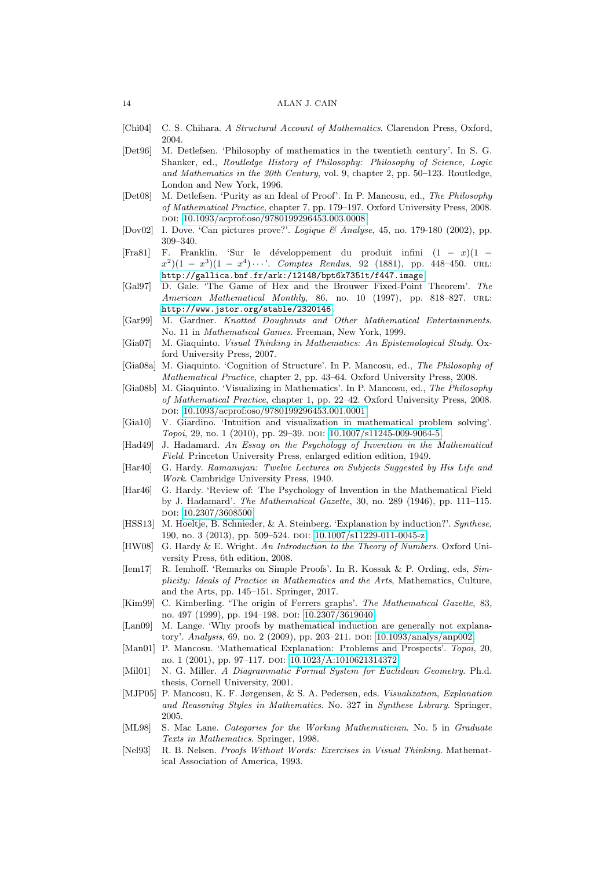- <span id="page-13-19"></span>[Chi04] C. S. Chihara. *A Structural Account of Mathematics*. Clarendon Press, Oxford, 2004.
- <span id="page-13-13"></span>[Det96] M. Detlefsen. 'Philosophy of mathematics in the twentieth century'. In S. G. Shanker, ed., *Routledge History of Philosophy: Philosophy of Science, Logic and Mathematics in the 20th Century*, vol. 9, chapter 2, pp. 50–123. Routledge, London and New York, 1996.
- <span id="page-13-23"></span>[Det08] M. Detlefsen. 'Purity as an Ideal of Proof'. In P. Mancosu, ed., *The Philosophy of Mathematical Practice*, chapter 7, pp. 179–197. Oxford University Press, 2008. doi: [10.1093/acprof:oso/9780199296453.003.0008.](http://dx.doi.org/10.1093/acprof:oso/9780199296453.003.0008)
- <span id="page-13-7"></span>[Dov02] I. Dove. 'Can pictures prove?'. *Logique & Analyse*, 45, no. 179-180 (2002), pp. 309–340.
- <span id="page-13-20"></span>[Fra81] F. Franklin. 'Sur le développement du produit infini  $(1 - x)(1 - y)$  $(x^2)(1-x^3)(1-x^4)\cdots$ . *Comptes Rendus*, 92 (1881), pp. 448–450. URL: <http://gallica.bnf.fr/ark:/12148/bpt6k7351t/f447.image>.
- <span id="page-13-18"></span>[Gal97] D. Gale. 'The Game of Hex and the Brouwer Fixed-Point Theorem'. *The American Mathematical Monthly*, 86, no. 10 (1997), pp. 818–827. URL: <http://www.jstor.org/stable/2320146>.
- <span id="page-13-9"></span>[Gar99] M. Gardner. *Knotted Doughnuts and Other Mathematical Entertainments*. No. 11 in *Mathematical Games*. Freeman, New York, 1999.
- <span id="page-13-5"></span>[Gia07] M. Giaquinto. *Visual Thinking in Mathematics: An Epistemological Study*. Oxford University Press, 2007.
- <span id="page-13-6"></span>[Gia08a] M. Giaquinto. 'Cognition of Structure'. In P. Mancosu, ed., *The Philosophy of Mathematical Practice*, chapter 2, pp. 43–64. Oxford University Press, 2008.
- <span id="page-13-1"></span>[Gia08b] M. Giaquinto. 'Visualizing in Mathematics'. In P. Mancosu, ed., *The Philosophy of Mathematical Practice*, chapter 1, pp. 22–42. Oxford University Press, 2008. doi: [10.1093/acprof:oso/9780199296453.001.0001.](http://dx.doi.org/10.1093/acprof:oso/9780199296453.001.0001)
- <span id="page-13-2"></span>[Gia10] V. Giardino. 'Intuition and visualization in mathematical problem solving'. *Topoi*, 29, no. 1 (2010), pp. 29-39. DOI: [10.1007/s11245-009-9064-5.](http://dx.doi.org/10.1007/s11245-009-9064-5)
- <span id="page-13-3"></span>[Had49] J. Hadamard. *An Essay on the Psychology of Invention in the Mathematical Field*. Princeton University Press, enlarged edition edition, 1949.
- <span id="page-13-21"></span>[Har40] G. Hardy. *Ramanujan: Twelve Lectures on Subjects Suggested by His Life and Work*. Cambridge University Press, 1940.
- <span id="page-13-4"></span>[Har46] G. Hardy. 'Review of: The Psychology of Invention in the Mathematical Field by J. Hadamard'. *The Mathematical Gazette*, 30, no. 289 (1946), pp. 111–115. doi: [10.2307/3608500.](http://dx.doi.org/10.2307/3608500)
- <span id="page-13-15"></span>[HSS13] M. Hoeltje, B. Schnieder, & A. Steinberg. 'Explanation by induction?'. *Synthese*, 190, no. 3 (2013), pp. 509-524. DOI: [10.1007/s11229-011-0045-z.](http://dx.doi.org/10.1007/s11229-011-0045-z)
- <span id="page-13-22"></span>[HW08] G. Hardy & E. Wright. *An Introduction to the Theory of Numbers*. Oxford University Press, 6th edition, 2008.
- <span id="page-13-11"></span>[Iem17] R. Iemhoff. 'Remarks on Simple Proofs'. In R. Kossak & P. Ording, eds, *Simplicity: Ideals of Practice in Mathematics and the Arts*, Mathematics, Culture, and the Arts, pp. 145–151. Springer, 2017.
- <span id="page-13-12"></span>[Kim99] C. Kimberling. 'The origin of Ferrers graphs'. *The Mathematical Gazette*, 83, no. 497 (1999), pp. 194–198. doi: [10.2307/3619040.](http://dx.doi.org/10.2307/3619040)
- <span id="page-13-16"></span>[Lan09] M. Lange. 'Why proofs by mathematical induction are generally not explanatory'. *Analysis*, 69, no. 2 (2009), pp. 203–211. doi: [10.1093/analys/anp002.](http://dx.doi.org/10.1093/analys/anp002)
- <span id="page-13-14"></span>[Man01] P. Mancosu. 'Mathematical Explanation: Problems and Prospects'. *Topoi*, 20, no. 1 (2001), pp. 97–117. doi: [10.1023/A:1010621314372.](http://dx.doi.org/10.1023/A:1010621314372)
- <span id="page-13-10"></span>[Mil01] N. G. Miller. *A Diagrammatic Formal System for Euclidean Geometry*. Ph.d. thesis, Cornell University, 2001.
- <span id="page-13-0"></span>[MJP05] P. Mancosu, K. F. Jørgensen, & S. A. Pedersen, eds. *Visualization, Explanation and Reasoning Styles in Mathematics*. No. 327 in *Synthese Library*. Springer, 2005.
- <span id="page-13-17"></span>[ML98] S. Mac Lane. *Categories for the Working Mathematician*. No. 5 in *Graduate Texts in Mathematics*. Springer, 1998.
- <span id="page-13-8"></span>[Nel93] R. B. Nelsen. *Proofs Without Words: Exercises in Visual Thinking*. Mathematical Association of America, 1993.